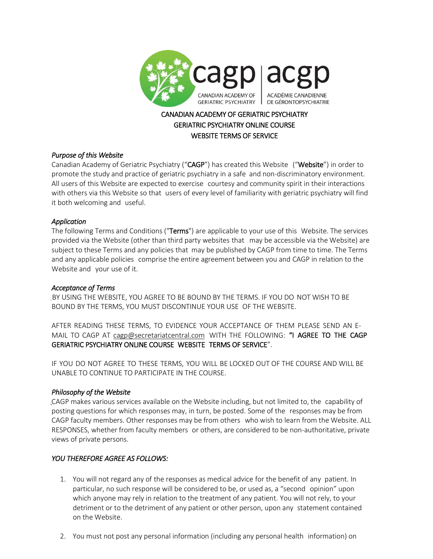

# CANADIAN ACADEMY OF GERIATRIC PSYCHIATRY GERIATRIC PSYCHIATRY ONLINE COURSE WEBSITE TERMS OF SERVICE

## *Purpose of this Website*

Canadian Academy of Geriatric Psychiatry ("CAGP") has created this Website ("Website") in order to promote the study and practice of geriatric psychiatry in a safe and non-discriminatory environment. All users of this Website are expected to exercise courtesy and community spirit in their interactions with others via this Website so that users of every level of familiarity with geriatric psychiatry will find it both welcoming and useful.

## *Application*

The following Terms and Conditions ("Terms") are applicable to your use of this Website. The services provided via the Website (other than third party websites that may be accessible via the Website) are subject to these Terms and any policies that may be published by CAGP from time to time. The Terms and any applicable policies comprise the entire agreement between you and CAGP in relation to the Website and your use of it.

## *Acceptance of Terms*

BY USING THE WEBSITE, YOU AGREE TO BE BOUND BY THE TERMS. IF YOU DO NOT WISH TO BE BOUND BY THE TERMS, YOU MUST DISCONTINUE YOUR USE OF THE WEBSITE.

AFTER READING THESE TERMS, TO EVIDENCE YOUR ACCEPTANCE OF THEM PLEASE SEND AN E-MAIL TO CAGP AT [cagp@secretariatcentral.com](mailto:cagp@secretariatcentral.com) WITH THE FOLLOWING: "I AGREE TO THE CAGP GERIATRIC PSYCHIATRY ONLINE COURSE WEBSITE TERMS OF SERVICE".

IF YOU DO NOT AGREE TO THESE TERMS, YOU WILL BE LOCKED OUT OF THE COURSE AND WILL BE UNABLE TO CONTINUE TO PARTICIPATE IN THE COURSE.

## *Philosophy of the Website*

CAGP makes various services available on the Website including, but not limited to, the capability of posting questions for which responses may, in turn, be posted. Some of the responses may be from CAGP faculty members. Other responses may be from others who wish to learn from the Website. ALL RESPONSES, whether from faculty members or others, are considered to be non-authoritative, private views of private persons.

# *YOU THEREFORE AGREE AS FOLLOWS:*

- 1. You will not regard any of the responses as medical advice for the benefit of any patient. In particular, no such response will be considered to be, or used as, a "second opinion" upon which anyone may rely in relation to the treatment of any patient. You will not rely, to your detriment or to the detriment of any patient or other person, upon any statement contained on the Website.
- 2. You must not post any personal information (including any personal health information) on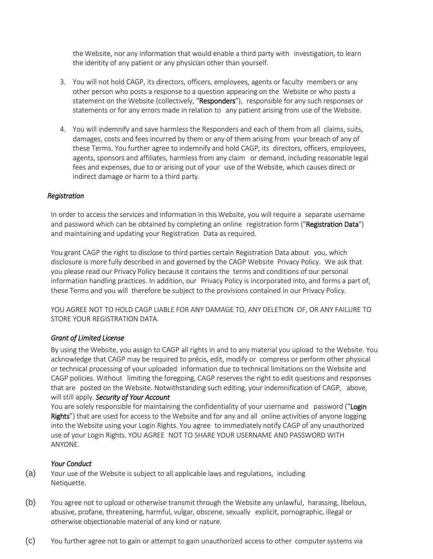the Website, nor any information that would enable a third party with investigation, to learn the identity of any patient or any physician other than yourself.

- 3. You will not hold CAGP, its directors, officers, employees, agents or faculty members or any other person who posts a response to a question appearing on the Website or who posts a statement on the Website (collectively, "Responders"), responsible for any such responses or statements or for any errors made in relation to any patient arising from use of the Website.
- 4. You will indemnify and save harmless the Responders and each of them from all claims, suits, damages, costs and fees incurred by them or any of them arising from your breach of any of these Terms. You further agree to indemnify and hold CAGP, its directors, officers, employees, agents, sponsors and affiliates, harmless from any claim or demand, including reasonable legal fees and expenses, due to or arising out of your use of the Website, which causes direct or indirect damage or harm to a third party.

#### *Registration*

In order to access the services and information in this Website, you will require a separate username and password which can be obtained by completing an online registration form ("Registration Data") and maintaining and updating your Registration Data as required.

You grant CAGP the right to disclose to third parties certain Registration Data about you, which disclosure is more fully described in and governed by the CAGP Website Privacy Policy. We ask that you please read our Privacy Policy because it contains the terms and conditions of our personal information handling practices. In addition, our Privacy Policy is incorporated into, and forms a part of, these Terms and you will therefore be subject to the provisions contained in our Privacy Policy.

YOU AGREE NOT TO HOLD CAGP LIABLE FOR ANY DAMAGE TO, ANY DELETION OF, OR ANY FAILURE TO STORE YOUR REGISTRATION DATA.

#### *Grant of Limited License*

By using the Website, you assign to CAGP all rights in and to any material you upload to the Website. You acknowledge that CAGP may be required to précis, edit, modify or compress or perform other physical or technical processing of your uploaded information due to technical limitations on the Website and CAGP policies. Without limiting the foregoing, CAGP reserves the right to edit questions and responses that are posted on the Website. Notwithstanding such editing, your indemnification of CAGP, above, will still apply. *Security of Your Account*

You are solely responsible for maintaining the confidentiality of your username and password ("Login Rights") that are used for access to the Website and for any and all online activities of anyone logging into the Website using your Login Rights. You agree to immediately notify CAGP of any unauthorized use of your Login Rights. YOU AGREE NOT TO SHARE YOUR USERNAME AND PASSWORD WITH ANYONE.

#### *Your Conduct*

(a) Your use of the Website is subject to all applicable laws and regulations, including Netiquette.

- (b) You agree not to upload or otherwise transmit through the Website any unlawful, harassing, libelous, abusive, profane, threatening, harmful, vulgar, obscene, sexually explicit, pornographic, illegal or otherwise objectionable material of any kind or nature.
- (c) You further agree not to gain or attempt to gain unauthorized access to other computer systems via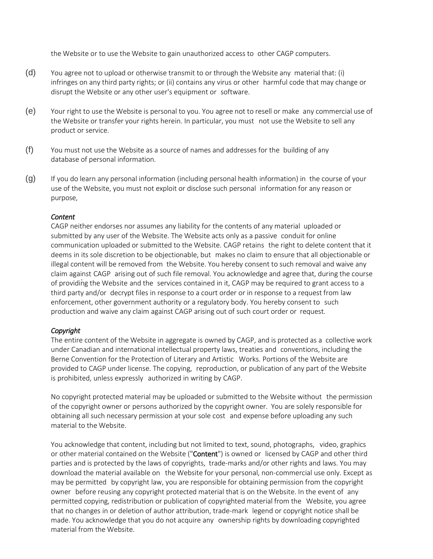the Website or to use the Website to gain unauthorized access to other CAGP computers.

- (d) You agree not to upload or otherwise transmit to or through the Website any material that: (i) infringes on any third party rights; or (ii) contains any virus or other harmful code that may change or disrupt the Website or any other user's equipment or software.
- (e) Your right to use the Website is personal to you. You agree not to resell or make any commercial use of the Website or transfer your rights herein. In particular, you must not use the Website to sell any product or service.
- (f) You must not use the Website as a source of names and addresses for the building of any database of personal information.
- (g) If you do learn any personal information (including personal health information) in the course of your use of the Website, you must not exploit or disclose such personal information for any reason or purpose,

#### *Content*

CAGP neither endorses nor assumes any liability for the contents of any material uploaded or submitted by any user of the Website. The Website acts only as a passive conduit for online communication uploaded or submitted to the Website. CAGP retains the right to delete content that it deems in its sole discretion to be objectionable, but makes no claim to ensure that all objectionable or illegal content will be removed from the Website. You hereby consent to such removal and waive any claim against CAGP arising out of such file removal. You acknowledge and agree that, during the course of providing the Website and the services contained in it, CAGP may be required to grant access to a third party and/or decrypt files in response to a court order or in response to a request from law enforcement, other government authority or a regulatory body. You hereby consent to such production and waive any claim against CAGP arising out of such court order or request.

#### *Copyright*

The entire content of the Website in aggregate is owned by CAGP, and is protected as a collective work under Canadian and international intellectual property laws, treaties and conventions, including the Berne Convention for the Protection of Literary and Artistic Works. Portions of the Website are provided to CAGP under license. The copying, reproduction, or publication of any part of the Website is prohibited, unless expressly authorized in writing by CAGP.

No copyright protected material may be uploaded or submitted to the Website without the permission of the copyright owner or persons authorized by the copyright owner. You are solely responsible for obtaining all such necessary permission at your sole cost and expense before uploading any such material to the Website.

You acknowledge that content, including but not limited to text, sound, photographs, video, graphics or other material contained on the Website ("Content") is owned or licensed by CAGP and other third parties and is protected by the laws of copyrights, trade-marks and/or other rights and laws. You may download the material available on the Website for your personal, non-commercial use only. Except as may be permitted by copyright law, you are responsible for obtaining permission from the copyright owner before reusing any copyright protected material that is on the Website. In the event of any permitted copying, redistribution or publication of copyrighted material from the Website, you agree that no changes in or deletion of author attribution, trade-mark legend or copyright notice shall be made. You acknowledge that you do not acquire any ownership rights by downloading copyrighted material from the Website.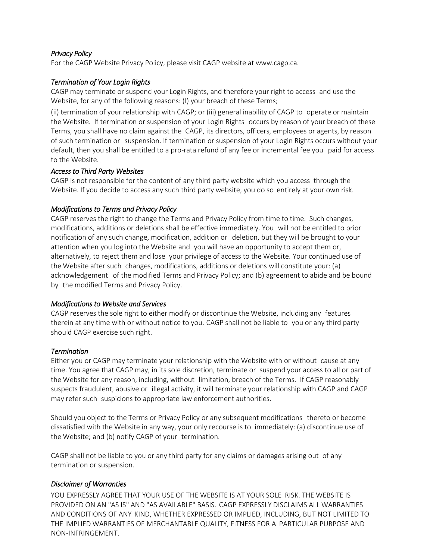### *Privacy Policy*

For the CAGP Website Privacy Policy, please visit CAGP website at [www.cagp.ca.](http://www.cagp.ca/)

### *Termination of Your Login Rights*

CAGP may terminate or suspend your Login Rights, and therefore your right to access and use the Website, for any of the following reasons: (I) your breach of these Terms;

(ii) termination of your relationship with CAGP; or (iii) general inability of CAGP to operate or maintain the Website. If termination or suspension of your Login Rights occurs by reason of your breach of these Terms, you shall have no claim against the CAGP, its directors, officers, employees or agents, by reason of such termination or suspension. If termination or suspension of your Login Rights occurs without your default, then you shall be entitled to a pro-rata refund of any fee or incremental fee you paid for access to the Website.

#### *Access to Third Party Websites*

CAGP is not responsible for the content of any third party website which you access through the Website. If you decide to access any such third party website, you do so entirely at your own risk.

### *Modifications to Terms and Privacy Policy*

CAGP reserves the right to change the Terms and Privacy Policy from time to time. Such changes, modifications, additions or deletions shall be effective immediately. You will not be entitled to prior notification of any such change, modification, addition or deletion, but they will be brought to your attention when you log into the Website and you will have an opportunity to accept them or, alternatively, to reject them and lose your privilege of access to the Website. Your continued use of the Website after such changes, modifications, additions or deletions will constitute your: (a) acknowledgement of the modified Terms and Privacy Policy; and (b) agreement to abide and be bound by the modified Terms and Privacy Policy.

#### *Modifications to Website and Services*

CAGP reserves the sole right to either modify or discontinue the Website, including any features therein at any time with or without notice to you. CAGP shall not be liable to you or any third party should CAGP exercise such right.

#### *Termination*

Either you or CAGP may terminate your relationship with the Website with or without cause at any time. You agree that CAGP may, in its sole discretion, terminate or suspend your access to all or part of the Website for any reason, including, without limitation, breach of the Terms. If CAGP reasonably suspects fraudulent, abusive or illegal activity, it will terminate your relationship with CAGP and CAGP may refer such suspicions to appropriate law enforcement authorities.

Should you object to the Terms or Privacy Policy or any subsequent modifications thereto or become dissatisfied with the Website in any way, your only recourse is to immediately: (a) discontinue use of the Website; and (b) notify CAGP of your termination.

CAGP shall not be liable to you or any third party for any claims or damages arising out of any termination or suspension.

#### *Disclaimer of Warranties*

YOU EXPRESSLY AGREE THAT YOUR USE OF THE WEBSITE IS AT YOUR SOLE RISK. THE WEBSITE IS PROVIDED ON AN "AS IS" AND "AS AVAILABLE" BASIS. CAGP EXPRESSLY DISCLAIMS ALL WARRANTIES AND CONDITIONS OF ANY KIND, WHETHER EXPRESSED OR IMPLIED, INCLUDING, BUT NOT LIMITED TO THE IMPLIED WARRANTIES OF MERCHANTABLE QUALITY, FITNESS FOR A PARTICULAR PURPOSE AND NON-INFRINGEMENT.